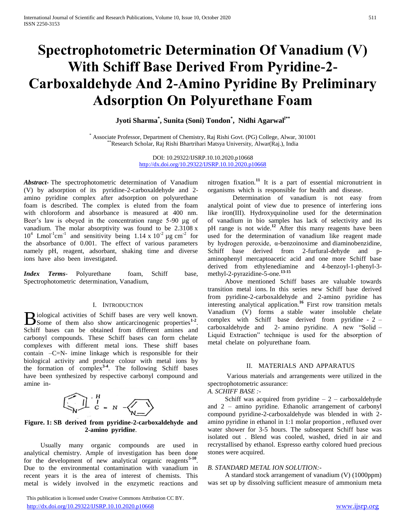# **Spectrophotometric Determination Of Vanadium (V) With Schiff Base Derived From Pyridine-2- Carboxaldehyde And 2-Amino Pyridine By Preliminary Adsorption On Polyurethane Foam**

**Jyoti Sharma\* , Sunita (Soni) Tondon\* , Nidhi Agarwal l\*\***

\* Associate Professor, Department of Chemistry, Raj Rishi Govt. (PG) College, Alwar, 301001 \*\*Research Scholar, Raj Rishi Bhartrihari Matsya University, Alwar(Raj.), India

> DOI: 10.29322/IJSRP.10.10.2020.p10668 <http://dx.doi.org/10.29322/IJSRP.10.10.2020.p10668>

*Abstract***-** The spectrophotometric determination of Vanadium (V) by adsorption of its pyridine-2-carboxaldehyde and 2 amino pyridine complex after adsorption on polyurethane foam is described. The complex is eluted from the foam with chloroform and absorbance is measured at 400 nm. Beer's law is obeyed in the concentration range 5-90 µg of vanadium. The molar absorptivity was found to be 2.3108 x  $10^4$  Lmol<sup>-1</sup>cm<sup>-1</sup> and sensitivity being 1.14 x  $10^{-2}$  µg cm<sup>-2</sup> for the absorbance of 0.001. The effect of various parameters namely pH, reagent, adsorbant, shaking time and diverse ions have also been investigated.

*Index Terms*- Polyurethane foam, Schiff base, Spectrophotometric determination, Vanadium,

## I. INTRODUCTION

iological activities of Schiff bases are very well known. **B** iological activities of Schiff bases are very well known.<br>
Some of them also show anticarcinogenic properties<sup>1-2</sup>. Schiff bases can be obtained from different amines and carbonyl compounds. These Schiff bases can form chelate complexes with different metal ions. These shiff bases contain –C=N- imine linkage which is responsible for their biological activity and produce colour with metal ions by the formation of complex**3-4** . The following Schiff bases have been synthesized by respective carbonyl compound and amine in-

$$
\left(\begin{matrix} 1 & H \\ 0 & 1 \end{matrix}\right)_{C \ = \ N} \ - \left(\begin{matrix} 1 & 0 \\ 0 & 1 \end{matrix}\right)
$$

## **Figure. 1: SB derived from pyridine-2-carboxaldehyde and 2-amino pyridine**.

 Usually many organic compounds are used in analytical chemistry. Ample of investigation has been done for the development of new analytical organic reagents**5-10** . Due to the environmental contamination with vanadium in recent years it is the area of interest of chemists. This metal is widely involved in the enzymetic reactions and

 This publication is licensed under Creative Commons Attribution CC BY. <http://dx.doi.org/10.29322/IJSRP.10.10.2020.p10668> [www.ijsrp.org](http://ijsrp.org/)

nitrogen fixation.**<sup>11</sup>** It is a part of essential micronutrient in organisms which is responsible for health and disease.

 Determination of vanadium is not easy from analytical point of view due to presence of interfering ions like iron(III). Hydroxyquinoline used for the determination of vanadium in bio samples has lack of selectivity and its pH range is not wide.**<sup>12</sup>** After this many reagents have been used for the determination of vanadium like reagent made by hydrogen peroxide, α-benzoinoxime and diaminobenzidine, Schiff base derived from 2-furfural-dehyde and paminophenyl mercaptoacetic acid and one more Schiff base derived from ethylenediamine and 4-benzoyl-1-phenyl-3 methyl-2-pyrazidine-5-one.**13-15**

 Above mentioned Schiff bases are valuable towards transition metal ions. In this series new Schiff base derived from pyridine-2-carboxaldehyde and 2-amino pyridine has interesting analytical application.**<sup>16</sup>** First row transition metals Vanadium (V) forms a stable water insoluble chelate complex with Schiff base derived from pyridine -  $2$ carboxaldehyde and 2- amino pyridine. A new "Solid – Liquid Extraction" technique is used for the absorption of metal chelate on polyurethane foam.

#### II. MATERIALS AND APPARATUS

 Various materials and arrangements were utilized in the spectrophotometric assurance:

# *A. SCHIFF BASE :-*

Schiff was acquired from pyridine  $-2$  – carboxaldehyde and 2 – amino pyridine. Ethanolic arrangement of carbonyl compound pyridine-2-carboxaldehyde was blended in with 2 amino pyridine in ethanol in 1:1 molar proportion , refluxed over water shower for 3-5 hours. The subsequent Schiff base was isolated out . Blend was cooled, washed, dried in air and recrystallised by ethanol. Espresso earthy colored hued precious stones were acquired.

## *B. STANDARD METAL ION SOLUTION:-*

 A standard stock arrangement of vanadium (V) (1000ppm) was set up by dissolving sufficient measure of ammonium meta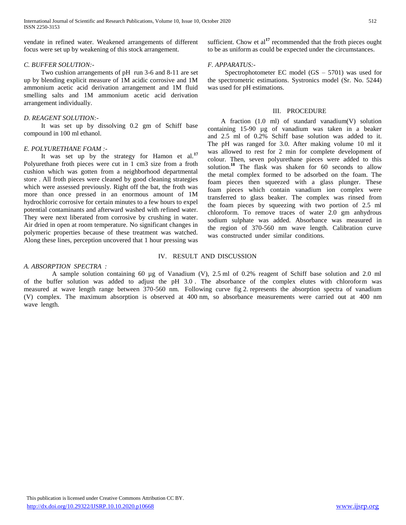vendate in refined water. Weakened arrangements of different focus were set up by weakening of this stock arrangement.

## *C. BUFFER SOLUTION:-*

 Two cushion arrangements of pH run 3-6 and 8-11 are set up by blending explicit measure of 1M acidic corrosive and 1M ammonium acetic acid derivation arrangement and 1M fluid smelling salts and 1M ammonium acetic acid derivation arrangement individually.

## *D. REAGENT SOLUTION:-*

 It was set up by dissolving 0.2 gm of Schiff base compound in 100 ml ethanol.

## *E. POLYURETHANE FOAM :-*

 It was set up by the strategy for Hamon et al.**<sup>17</sup>** Polyurethane froth pieces were cut in 1 cm3 size from a froth cushion which was gotten from a neighborhood departmental store . All froth pieces were cleaned by good cleaning strategies which were assessed previously. Right off the bat, the froth was more than once pressed in an enormous amount of 1M hydrochloric corrosive for certain minutes to a few hours to expel potential contaminants and afterward washed with refined water. They were next liberated from corrosive by crushing in water. Air dried in open at room temperature. No significant changes in polymeric properties because of these treatment was watched. Along these lines, perception uncovered that 1 hour pressing was sufficient. Chow et al<sup>17</sup> recommended that the froth pieces ought to be as uniform as could be expected under the circumstances.

## *F. APPARATUS:-*

 Spectrophotometer EC model (GS – 5701) was used for the spectrometric estimations. Systronics model (Sr. No. 5244) was used for pH estimations.

# III. PROCEDURE

 A fraction (1.0 ml) of standard vanadium(V) solution containing 15-90 µg of vanadium was taken in a beaker and 2.5 ml of 0.2% Schiff base solution was added to it. The pH was ranged for 3.0. After making volume 10 ml it was allowed to rest for 2 min for complete development of colour. Then, seven polyurethane pieces were added to this solution.<sup>18</sup> The flask was shaken for 60 seconds to allow the metal complex formed to be adsorbed on the foam. The foam pieces then squeezed with a glass plunger. These foam pieces which contain vanadium ion complex were transferred to glass beaker. The complex was rinsed from the foam pieces by squeezing with two portion of 2.5 ml chloroform. To remove traces of water 2.0 gm anhydrous sodium sulphate was added. Absorbance was measured in the region of 370-560 nm wave length. Calibration curve was constructed under similar conditions.

# IV. RESULT AND DISCUSSION

# *A. ABSORPTION SPECTRA :*

A sample solution containing 60 µg of Vanadium (V), 2.5 ml of 0.2% reagent of Schiff base solution and 2.0 ml of the buffer solution was added to adjust the pH 3.0 . The absorbance of the complex elutes with chloroform was measured at wave length range between 370-560 nm. Following curve fig 2 represents the absorption spectra of vanadium (V) complex. The maximum absorption is observed at 400 nm, so absorbance measurements were carried out at 400 nm wave length.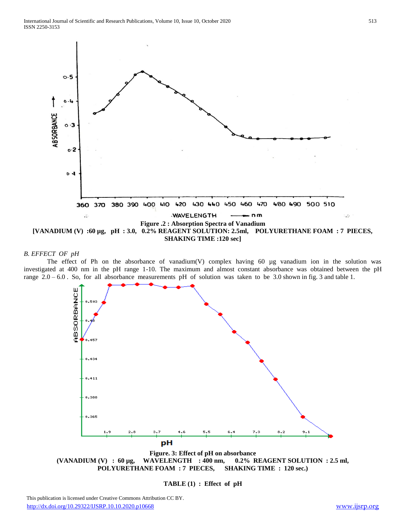

### *B. EFFECT OF pH*

The effect of Ph on the absorbance of vanadium(V) complex having 60 µg vanadium ion in the solution was investigated at 400 nm in the pH range 1-10. The maximum and almost constant absorbance was obtained between the pH range 2.0 – 6.0 . So, for all absorbance measurements pH of solution was taken to be 3.0 shown in fig. 3 and table 1.



**Figure. 3: Effect of pH on absorbance (VANADIUM (V) : 60 µg, WAVELENGTH : 400 nm, 0.2% REAGENT SOLUTION : 2.5 ml, POLYURETHANE FOAM : 7 PIECES, SHAKING TIME : 120 sec.)**

**TABLE (1) : Effect of pH**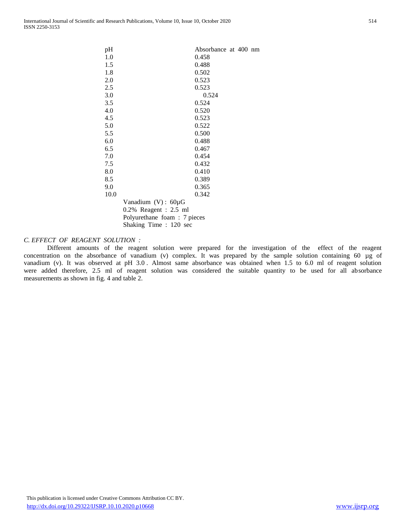| pH   |                             | Absorbance at 400 nm |  |  |
|------|-----------------------------|----------------------|--|--|
| 1.0  |                             | 0.458                |  |  |
| 1.5  |                             | 0.488                |  |  |
| 1.8  |                             | 0.502                |  |  |
| 2.0  |                             | 0.523                |  |  |
| 2.5  |                             | 0.523                |  |  |
| 3.0  |                             | 0.524                |  |  |
| 3.5  |                             | 0.524                |  |  |
| 4.0  |                             | 0.520                |  |  |
| 4.5  |                             | 0.523                |  |  |
| 5.0  |                             | 0.522                |  |  |
| 5.5  |                             | 0.500                |  |  |
| 6.0  |                             | 0.488                |  |  |
| 6.5  |                             | 0.467                |  |  |
| 7.0  |                             | 0.454                |  |  |
| 7.5  |                             | 0.432                |  |  |
| 8.0  |                             | 0.410                |  |  |
| 8.5  |                             | 0.389                |  |  |
| 9.0  |                             | 0.365                |  |  |
| 10.0 |                             | 0.342                |  |  |
|      | Vanadium (V): 60µG          |                      |  |  |
|      | $0.2\%$ Reagent : 2.5 ml    |                      |  |  |
|      | Polyurethane foam: 7 pieces |                      |  |  |
|      | Shaking Time : 120 sec      |                      |  |  |
|      |                             |                      |  |  |

# *C. EFFECT OF REAGENT SOLUTION :*

 Different amounts of the reagent solution were prepared for the investigation of the effect of the reagent concentration on the absorbance of vanadium (v) complex. It was prepared by the sample solution containing 60 µg of vanadium (v). It was observed at pH 3.0 . Almost same absorbance was obtained when 1.5 to 6.0 ml of reagent solution were added therefore, 2.5 ml of reagent solution was considered the suitable quantity to be used for all absorbance measurements as shown in fig. 4 and table 2.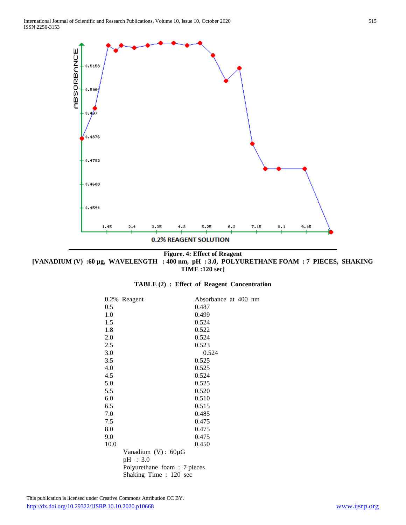

**Figure. 4: Effect of Reagent [VANADIUM (V) :60 µg, WAVELENGTH : 400 nm, pH : 3.0, POLYURETHANE FOAM : 7 PIECES, SHAKING TIME :120 sec]**

|  |  |  |  |  |  |  | TABLE (2) : Effect of Reagent Concentration |
|--|--|--|--|--|--|--|---------------------------------------------|
|--|--|--|--|--|--|--|---------------------------------------------|

| 0.2% | Reagent                     | Absorbance at 400 nm |  |  |
|------|-----------------------------|----------------------|--|--|
| 0.5  |                             | 0.487                |  |  |
| 1.0  |                             | 0.499                |  |  |
| 1.5  |                             | 0.524                |  |  |
| 1.8  |                             | 0.522                |  |  |
| 2.0  |                             | 0.524                |  |  |
|      |                             |                      |  |  |
| 2.5  |                             | 0.523                |  |  |
| 3.0  |                             | 0.524                |  |  |
| 3.5  |                             | 0.525                |  |  |
| 4.0  |                             | 0.525                |  |  |
| 4.5  |                             | 0.524                |  |  |
| 5.0  |                             | 0.525                |  |  |
| 5.5  |                             | 0.520                |  |  |
| 6.0  |                             | 0.510                |  |  |
| 6.5  |                             | 0.515                |  |  |
| 7.0  |                             | 0.485                |  |  |
| 7.5  |                             | 0.475                |  |  |
| 8.0  |                             | 0.475                |  |  |
| 9.0  |                             | 0.475                |  |  |
| 10.0 |                             | 0.450                |  |  |
|      | Vanadium $(V)$ : 60µG       |                      |  |  |
|      | pH : 3.0                    |                      |  |  |
|      | Polyurethane foam: 7 pieces |                      |  |  |
|      |                             |                      |  |  |
|      | Shaking Time : 120 sec      |                      |  |  |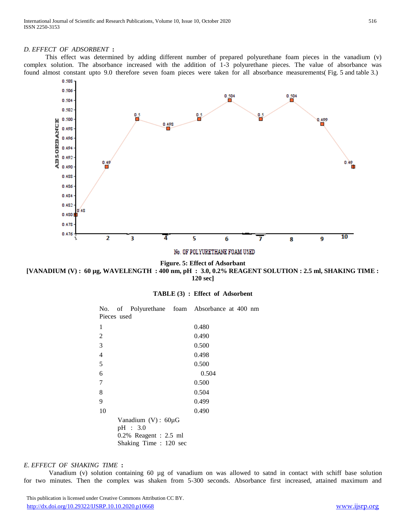## *D. EFFECT OF ADSORBENT* **:**

 This effect was determined by adding different number of prepared polyurethane foam pieces in the vanadium (v) complex solution. The absorbance increased with the addition of 1-3 polyurethane pieces. The value of absorbance was found almost constant upto 9.0 therefore seven foam pieces were taken for all absorbance measurements( Fig. 5 and table 3.)



**Figure. 5: Effect of Adsorbant [VANADIUM (V) : 60 µg, WAVELENGTH : 400 nm, pH : 3.0, 0.2% REAGENT SOLUTION : 2.5 ml, SHAKING TIME : 120 sec]**

|  |  |  |  |  | TABLE (3) : Effect of Adsorbent |
|--|--|--|--|--|---------------------------------|
|--|--|--|--|--|---------------------------------|

|                |             | No. of Polyurethane foam Absorbance at 400 nm |       |  |  |
|----------------|-------------|-----------------------------------------------|-------|--|--|
|                | Pieces used |                                               |       |  |  |
| 1              |             |                                               | 0.480 |  |  |
| $\overline{2}$ |             |                                               | 0.490 |  |  |
| 3              |             |                                               | 0.500 |  |  |
| $\overline{4}$ |             |                                               | 0.498 |  |  |
| 5              |             |                                               | 0.500 |  |  |
| 6              |             |                                               | 0.504 |  |  |
| 7              |             |                                               | 0.500 |  |  |
| 8              |             |                                               | 0.504 |  |  |
| 9              |             |                                               | 0.499 |  |  |
| 10             |             |                                               | 0.490 |  |  |
|                |             | Vanadium $(V)$ : 60 $\mu$ G                   |       |  |  |
|                |             | pH : 3.0                                      |       |  |  |
|                |             | $0.2\%$ Reagent : 2.5 ml                      |       |  |  |
|                |             | Shaking Time: 120 sec                         |       |  |  |

## *E. EFFECT OF SHAKING TIME* **:**

 Vanadium (v) solution containing 60 µg of vanadium on was allowed to satnd in contact with schiff base solution for two minutes. Then the complex was shaken from 5-300 seconds. Absorbance first increased, attained maximum and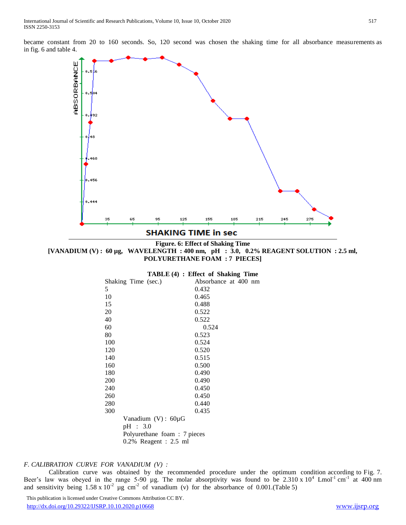became constant from 20 to 160 seconds. So, 120 second was chosen the shaking time for all absorbance measurements as in fig. 6 and table 4.



**Figure. 6: Effect of Shaking Time**

**[VANADIUM (V) : 60 µg, WAVELENGTH : 400 nm, pH : 3.0, 0.2% REAGENT SOLUTION : 2.5 ml, POLYURETHANE FOAM : 7 PIECES]**

| TABLE (4) : Effect of Shaking Time |  |  |  |  |  |
|------------------------------------|--|--|--|--|--|
|------------------------------------|--|--|--|--|--|

|     | Shaking Time (sec.)         | Absorbance at 400 nm |  |  |
|-----|-----------------------------|----------------------|--|--|
| 5   |                             | 0.432                |  |  |
| 10  |                             | 0.465                |  |  |
| 15  |                             | 0.488                |  |  |
| 20  |                             | 0.522                |  |  |
| 40  |                             | 0.522                |  |  |
| 60  |                             | 0.524                |  |  |
| 80  |                             | 0.523                |  |  |
| 100 |                             | 0.524                |  |  |
| 120 |                             | 0.520                |  |  |
| 140 |                             | 0.515                |  |  |
| 160 |                             | 0.500                |  |  |
| 180 |                             | 0.490                |  |  |
| 200 |                             | 0.490                |  |  |
| 240 |                             | 0.450                |  |  |
| 260 |                             | 0.450                |  |  |
| 280 |                             | 0.440                |  |  |
| 300 |                             | 0.435                |  |  |
|     | Vanadium $(V)$ : 60µG       |                      |  |  |
|     |                             |                      |  |  |
|     | pH : 3.0                    |                      |  |  |
|     | Polyurethane foam: 7 pieces |                      |  |  |
|     | $0.2\%$ Reagent : 2.5 ml    |                      |  |  |

## *F. CALIBRATION CURVE FOR VANADIUM (V) :*

 Calibration curve was obtained by the recommended procedure under the optimum condition according to Fig. 7. Beer's law was obeyed in the range 5-90 µg. The molar absorptivity was found to be  $2.310 \times 10^4$  Lmol<sup>-1</sup> cm<sup>-1</sup> at 400 nm and sensitivity being  $1.58 \times 10^{-2}$  µg cm<sup>-2</sup> of vanadium (v) for the absorbance of 0.001.(Table 5)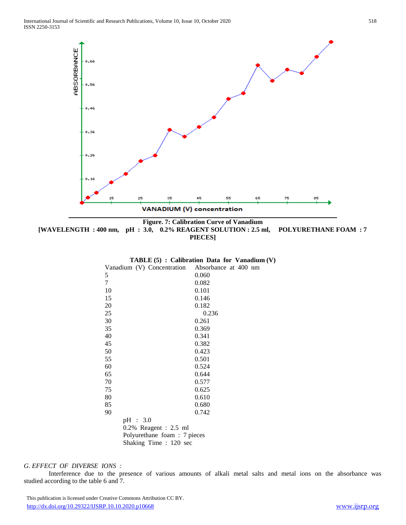

**Figure. 7: Calibration Curve of Vanadium [WAVELENGTH : 400 nm, pH : 3.0, 0.2% REAGENT SOLUTION : 2.5 ml, POLYURETHANE FOAM : 7 PIECES]**

|                                                 | TABLE $(5)$ : Calibration Data for Vanadium $(V)$ |
|-------------------------------------------------|---------------------------------------------------|
| Vanadium (V) Concentration Absorbance at 400 nm |                                                   |
| 5                                               | 0.060                                             |
| 7                                               | 0.082                                             |
| 10                                              | 0.101                                             |
| 15                                              | 0.146                                             |
| 20                                              | 0.182                                             |
| 25                                              | 0.236                                             |
| 30                                              | 0.261                                             |
| 35                                              | 0.369                                             |
| 40                                              | 0.341                                             |
| 45                                              | 0.382                                             |
| 50                                              | 0.423                                             |
| 55                                              | 0.501                                             |
| 60                                              | 0.524                                             |
| 65                                              | 0.644                                             |
| 70                                              | 0.577                                             |
| 75                                              | 0.625                                             |
| 80                                              | 0.610                                             |
| 85                                              | 0.680                                             |
| 90                                              | 0.742                                             |
| pH : 3.0                                        |                                                   |
| $0.2\%$ Reagent : 2.5 ml                        |                                                   |
| Polyurethane foam: 7 pieces                     |                                                   |

Shaking Time : 120 sec

# *G. EFFECT OF DIVERSE IONS :*

 Interference due to the presence of various amounts of alkali metal salts and metal ions on the absorbance was studied according to the table 6 and 7.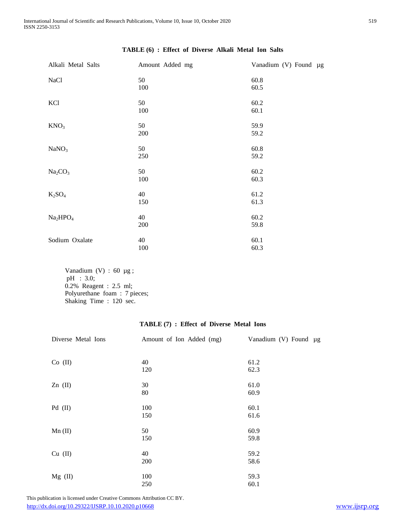| Alkali Metal Salts               | Amount Added mg | Vanadium (V) Found µg |
|----------------------------------|-----------------|-----------------------|
| NaCl                             | 50<br>100       | 60.8<br>60.5          |
| KCl                              | 50<br>100       | 60.2<br>60.1          |
| KNO <sub>3</sub>                 | 50<br>200       | 59.9<br>59.2          |
| NaNO <sub>3</sub>                | 50<br>250       | 60.8<br>59.2          |
| Na <sub>2</sub> CO <sub>3</sub>  | 50<br>100       | 60.2<br>60.3          |
| $K_2SO_4$                        | 40<br>150       | 61.2<br>61.3          |
| Na <sub>2</sub> HPO <sub>4</sub> | 40<br>200       | 60.2<br>59.8          |
| Sodium Oxalate                   | 40<br>100       | 60.1<br>60.3          |

# **TABLE (6) : Effect of Diverse Alkali Metal Ion Salts**

Vanadium (V) : 60 µg; pH : 3.0; 0.2% Reagent : 2.5 ml; Polyurethane foam : 7 pieces; Shaking Time : 120 sec.

# **TABLE (7) : Effect of Diverse Metal Ions**

| Diverse Metal Ions | Amount of Ion Added (mg) | Vanadium (V) Found µg |
|--------------------|--------------------------|-----------------------|
|                    |                          |                       |
| $Co$ (II)          | 40                       | 61.2                  |
|                    | 120                      | 62.3                  |
|                    |                          |                       |
| $Zn$ (II)          | 30                       | 61.0                  |
|                    | 80                       | 60.9                  |
| $Pd$ (II)          | 100                      | 60.1                  |
|                    |                          |                       |
|                    | 150                      | 61.6                  |
| $Mn$ (II)          | 50                       | 60.9                  |
|                    | 150                      | 59.8                  |
|                    |                          |                       |
| $Cu$ (II)          | 40                       | 59.2                  |
|                    | 200                      | 58.6                  |
|                    |                          |                       |
| $Mg$ (II)          | 100                      | 59.3                  |
|                    | 250                      | 60.1                  |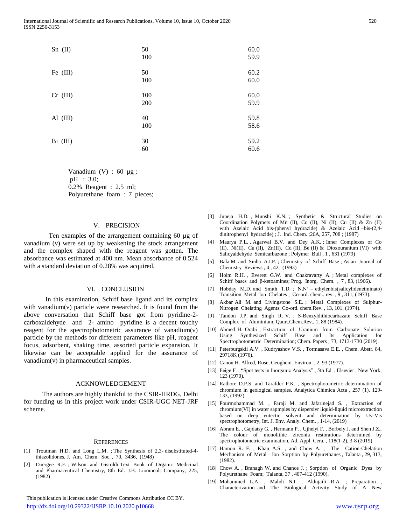| $Sn$ (II)  | 50<br>100  | 60.0<br>59.9 |
|------------|------------|--------------|
| Fe $(III)$ | 50<br>100  | 60.2<br>60.0 |
| $Cr$ (III) | 100<br>200 | 60.0<br>59.9 |
| Al $(III)$ | 40<br>100  | 59.8<br>58.6 |
| $Bi$ (III) | 30<br>60   | 59.2<br>60.6 |

Vanadium  $(V)$  : 60  $\mu$ g; pH : 3.0; 0.2% Reagent : 2.5 ml; Polyurethane foam : 7 pieces;

#### V. PRECISION

Ten examples of the arrangement containing 60 µg of vanadium (v) were set up by weakening the stock arrangement and the complex shaped with the reagent was gotten. The absorbance was estimated at 400 nm. Mean absorbance of 0.524 with a standard deviation of 0.28% was acquired.

#### VI. CONCLUSION

 In this examination, Schiff base ligand and its complex with vanadium(v) particle were researched. It is found from the above conversation that Schiff base got from pyridine-2 carboxaldehyde and 2- amino pyridine is a decent touchy reagent for the spectrophotometric assurance of vanadium(v) particle by the methods for different parameters like pH, reagent focus, adsorbent, shaking time, assorted particle expansion. It likewise can be acceptable applied for the assurance of vanadium(v) in pharmaceutical samples.

#### ACKNOWLEDGEMENT

The authors are highly thankful to the CSIR-HRDG, Delhi for funding us in this project work under CSIR-UGC NET-JRF scheme.

#### **REFERENCES**

- [1] Troutman H.D. and Long L.M. ; The Synthesis of 2,3- disubstituted-4 thiazolidones, J. Am. Chem. Soc. , 70, 3436, (1948)
- [2] Doergee R.F. ; Wilson and Gisroldi Text Book of Organic Medicinal and Pharmaceutical Chemistry, 8th Ed. J.B. Liooincolt Company, 225, (1982)

- [3] Juneja H.D. , Munshi K.N. ; Synthetic & Structural Studies on Coordination Polymers of Mn (II), Co (II), Ni (II), Cu (II) & Zn (II) with Azelaic Acid bis-(phenyl hydrazide) & Azelaic Acid –bis-(2,4 dinitrophenyl hydrazide) ; J. Ind. Chem. ;26A, 257, 708 ; (1987)
- [4] Maurya P.L. , Agarwal B.V. and Dey A.K. ; Inner Complexes of Co (II), Ni(II), Cu (II), Zn(II), Cd (II), Be (II) & Dioxouranium (VI) with Salicyaldehyde Semicarbazone ; Polymer Bull ; 1 , 631 (1979)
- [5] Bala M. and Sinha A.I.P. ; Chemistry of Schiff Base ; Asian Journal of Chemistry Reviews , 4 , 42, (1993)
- [6] Holm R.H., Everett G.W. and Chakravarty A.; Metal complexes of Schiff bases and β-ketoamines; Prog. Inorg. Chem. , 7 , 83, (1966).
- [7] Hobday M.D. and Smith T.D. ; N,N' ethylenbis(salicylideneiminato) Transition Metal Ion Chelates ; Co-ord. chem.. rev. , 9 , 311, (1973).
- [8] Akbar Ali M. and Livingstone S.E. ; Metal Complexes of Sulphur-Nitrogen Chelating Agents; Co-ord. chem.Rev. , 13, 101, (1974).
- [9] Tandon J.P. and Singh R. V. ; S-Benzyldithiocarbazate Schiff Base Complex of Aluminium, Qaurt.Chem.Rev., 1, 88 (1984).
- [10] Ahmed H. Orabi ; Extraction of Uranium from Carbonate Solution Using Synthesized Schiff Base and Its Application for Spectrophotometric Determination; Chem. Papers ; 73, 1713-1730 (2019).
- [11] Peterburgskii A.V. , Kudryashov V.S. , Tormasava E.E. , Chem. Abstr. 84, 29718K (1976).
- [12] Canon H. Alfred, Rose, Geoghem. Environ., 2, 93 (1977).
- [13] Feige F., "Spot tests in Inorganic Analysis", 5th Ed., Elsevier, New York, 123 (1970).
- [14] Rathore D.P.S. and Tarafder P.K. , Spectrophotometric determination of chromium in geological samples, Analytica Chimica Acta , 257 (1). 129- 133, (1992).
- [15] Pourmohammad M. , Faraji M. and Jafarinejad S. , Extraction of chromium(VI) in water sapmples by dispersivr liquid-liquid microextraction based on deep eutectic solvent and determination by Uv-Vis spectrophotometry, Int. J. Env. Analy. Chem. , 1-14, (2019)
- [16] Abram E., Gajdatsy G., Hermann P., Ujhelyi F., Borbely J. and Shen J.Z., The colour of monolithic zirconia restorations determined spectrophotometric examination, Ad. Appl. Cera. , 118(1-2), 3-8 (2019)
- [17] Hamon R. F. , Khan A.S. , and Chow A. ; The Cation-Chelation Mechanism of Metal – Ion Sorption by Polyurethanes , Talanta , 29, 313, (1982).
- [18] Chow A., Branagh W. and Chance J.; Sorption of Organic Dyes by Polyurethane Foam; Talanta, 37 , 407-412 (1990).
- [19] Mohammed L.A. , Mahdi N.I. , Aldujaili R.A. ; Preparation , Characterization and The Biological Activity Study of A New